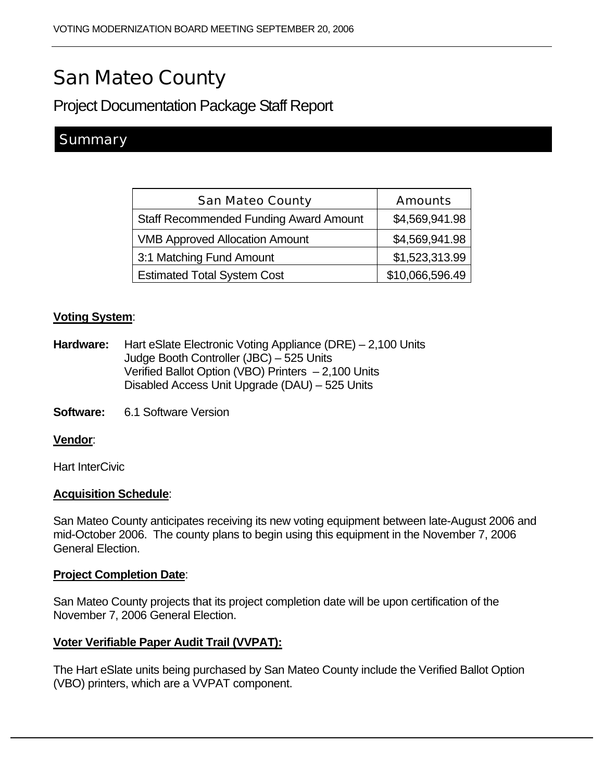# San Mateo County

Project Documentation Package Staff Report

## **Summary**

| <b>San Mateo County</b>                       | <b>Amounts</b>  |
|-----------------------------------------------|-----------------|
| <b>Staff Recommended Funding Award Amount</b> | \$4,569,941.98  |
| <b>VMB Approved Allocation Amount</b>         | \$4,569,941.98  |
| 3:1 Matching Fund Amount                      | \$1,523,313.99  |
| <b>Estimated Total System Cost</b>            | \$10,066,596.49 |

#### **Voting System**:

- **Hardware:** Hart eSlate Electronic Voting Appliance (DRE) 2,100 Units Judge Booth Controller (JBC) – 525 Units Verified Ballot Option (VBO) Printers – 2,100 Units Disabled Access Unit Upgrade (DAU) – 525 Units
- **Software:** 6.1 Software Version

#### **Vendor**:

Hart InterCivic

#### **Acquisition Schedule**:

San Mateo County anticipates receiving its new voting equipment between late-August 2006 and mid-October 2006. The county plans to begin using this equipment in the November 7, 2006 General Election.

#### **Project Completion Date**:

San Mateo County projects that its project completion date will be upon certification of the November 7, 2006 General Election.

#### **Voter Verifiable Paper Audit Trail (VVPAT):**

The Hart eSlate units being purchased by San Mateo County include the Verified Ballot Option (VBO) printers, which are a VVPAT component.